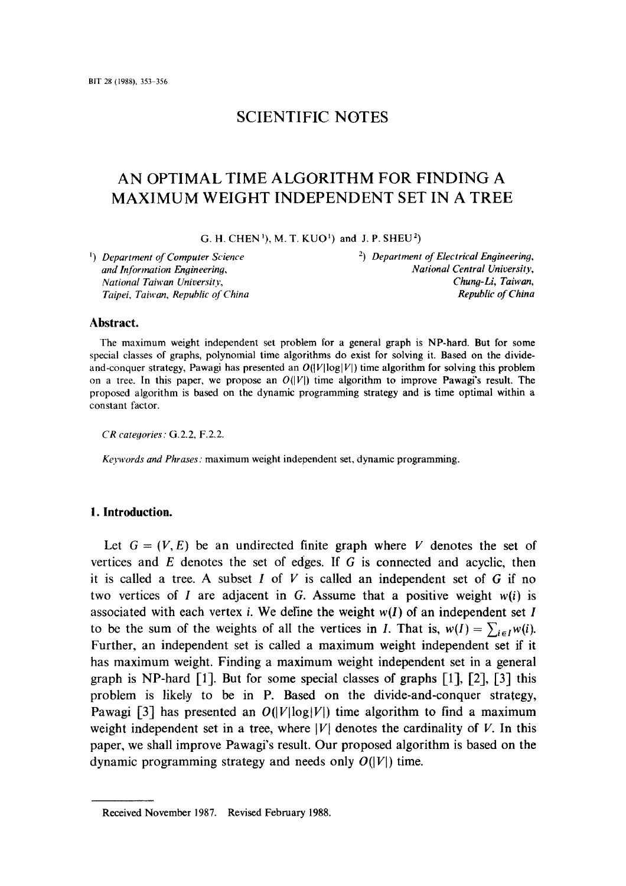# SCIENTIFIC NOTES

# AN OPTIMAL TIME ALGORITHM FOR FINDING A MAXIMUM WEIGHT INDEPENDENT SET IN A TREE

G. H. CHEN<sup>1</sup>), M. T. KUO<sup>1</sup>) and J. P. SHEU<sup>2</sup>)

*and Information Engineering, Taipei, Taiwan, Republic of China* 

*1) Department of Computer Science* 2) *Department of Electrieal Engineerin9, National Taiwan University, Chung-Li, Taiwan,* 

### **Abstract.**

The maximum weight independent set problem for a general graph is NP-hard. But for some special classes of graphs, polynomial time algorithms do exist for solving it. Based on the divideand-conquer strategy, Pawagi has presented an  $O(|V| \log |V|)$  time algorithm for solving this problem on a tree. In this paper, we propose an  $O(|V|)$  time algorithm to improve Pawagi's result. The proposed algorithm is based on the dynamic programming strategy and is time optimal within a constant factor.

*CR categories:* G.2.2, F,2,2.

*Keywords and Phrases:* maximum weight independent set, dynamic programming.

#### **1. Introduction.**

Let  $G = (V, E)$  be an undirected finite graph where V denotes the set of vertices and E denotes the set of edges. If G is connected and acyclic, then it is called a tree. A subset  $I$  of  $V$  is called an independent set of  $G$  if no two vertices of ! are adjacent in G. Assume that a positive weight *w(i)* is associated with each vertex *i*. We define the weight  $w(I)$  of an independent set I to be the sum of the weights of all the vertices in I. That is,  $w(I) = \sum_{i \in I} w(i)$ . Further, an independent set is called a maximum weight independent set if it has maximum weight. Finding a maximum weight independent set in a general graph is NP-hard  $\lceil 1 \rceil$ . But for some special classes of graphs  $\lceil 1 \rceil$ ,  $\lceil 2 \rceil$ ,  $\lceil 3 \rceil$  this problem is likely to be in P. Based on the divide-and-conquer strategy, Pawagi [3] has presented an  $O(|V|\log|V|)$  time algorithm to find a maximum weight independent set in a tree, where  $|V|$  denotes the cardinality of V. In this paper, we shall improve Pawagi's result. Our proposed algorithm is based on the dynamic programming strategy and needs only  $O(|V|)$  time.

Received November 1987. Revised February 1988.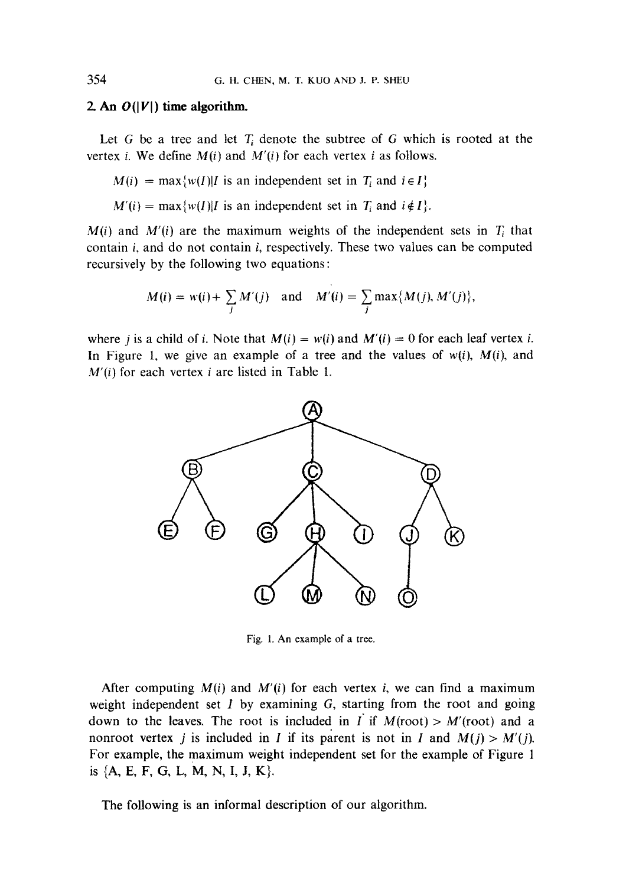#### 2. An  $O(|V|)$  time algorithm.

Let G be a tree and let  $T_i$  denote the subtree of G which is rooted at the vertex i. We define *M(i)* and *M'(i}* for each vertex i as follows.

- $M(i) = \max\{w(I)|I \text{ is an independent set in } T_i \text{ and } i \in I\}$
- $M'(i) = \max\{w(I)|I \text{ is an independent set in } T_i \text{ and } i \notin I\}.$

 $M(i)$  and  $M'(i)$  are the maximum weights of the independent sets in  $T_i$  that contain i, and do not contain i, respectively. These two values can be computed recursively by the following two equations:

$$
M(i) = w(i) + \sum_j M'(j) \quad \text{and} \quad M'(i) = \sum_j \max\{M(j), M'(j)\},
$$

where *j* is a child of *i*. Note that  $M(i) = w(i)$  and  $M'(i) = 0$  for each leaf vertex *i*. In Figure 1, we give an example of a tree and the values of  $w(i)$ ,  $M(i)$ , and *M'(i)* for each vertex i are listed in Table 1.



Fig. 1. An example of a tree.

After computing  $M(i)$  and  $M'(i)$  for each vertex i, we can find a maximum weight independent set  $I$  by examining  $G$ , starting from the root and going down to the leaves. The root is included in I if  $M(root) > M'(root)$  and a nonroot vertex *j* is included in *I* if its parent is not in *I* and  $M(j) > M'(j)$ . For example, the maximum weight independent set for the example of Figure 1 is  $\{A, E, F, G, L, M, N, I, J, K\}.$ 

The following is an informal description of our algorithm.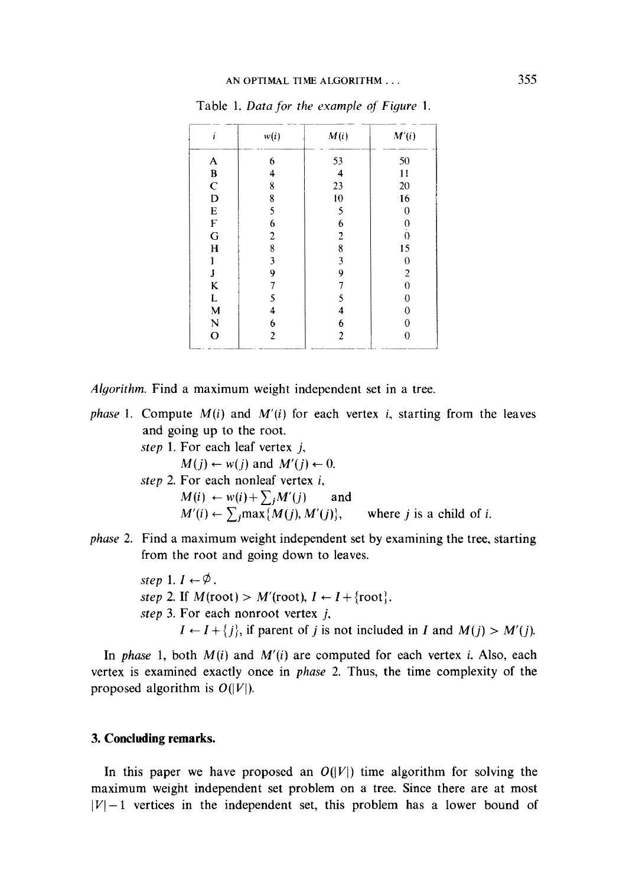| ı            | w(i)             | M(i)             | M'(i)          |
|--------------|------------------|------------------|----------------|
| A            | 6                | 53               | 50             |
| B            | 4                | 4                | 11             |
| $\mathbf C$  | 8                | 23               | 20             |
| D            | 8                | 10               | 16             |
| E            | 5                | 5                | 0              |
| F            | 6                | 6                |                |
| G            | $\boldsymbol{2}$ | $\overline{c}$   | o<br>ô         |
| H            | 8                | 8                | 15             |
| I            | 3                | 3                | $\theta$       |
| J            | 9                | 9                | 2              |
| K            |                  |                  | 0              |
| L            | 5                | 5                | $\overline{0}$ |
| $\mathbf{M}$ | 4                | 4                | 0              |
| N            | 6                | 6                | 0              |
| $\mathbf O$  | 2                | $\boldsymbol{2}$ | 0              |

Table 1. *Data for the example of Figure 1.* 

*Alyorithm,* **Find a maximum weight independent set in a tree.** 

- *phase* 1. Compute  $M(i)$  and  $M'(i)$  for each vertex *i*, starting from the leaves **and going up to the root.** 
	- *step* **1. For each leaf vertex j,**   $M(i) \leftarrow w(j)$  and  $M'(i) \leftarrow 0$ . *step* **2. For each nonleaf vertex** *i,*   $M(i) \leftarrow w(i) + \sum_{i} M'(j)$  and  $M'(i) \leftarrow \sum_j \max\{M(j), M'(j)\},\$  where j is a child of i.
- *phase* **2. Find a maximum weight independent set by examining the tree, starting from the root and going down to leaves.**

*step*  $1, I \leftarrow \emptyset$ .  $step 2$ . **If**  $M(root) > M'(root)$ ,  $I \leftarrow I + \{root\}$ . *step* **3. For each nonroot vertex j,**   $I \leftarrow I + \{j\}$ , if parent of *j* is not included in *I* and  $M(j) > M'(j)$ .

In *phase* 1, both  $M(i)$  and  $M'(i)$  are computed for each vertex *i*. Also, each **vertex is examined exactly once in** *phase* **2. Thus, the time complexity of the**  proposed algorithm is  $O(|V|)$ .

## **3. Concluding remarks.**

In this paper we have proposed an  $O(|V|)$  time algorithm for solving the **maximum weight independent set problem on a tree. Since there are at most**   $|V|-1$  vertices in the independent set, this problem has a lower bound of